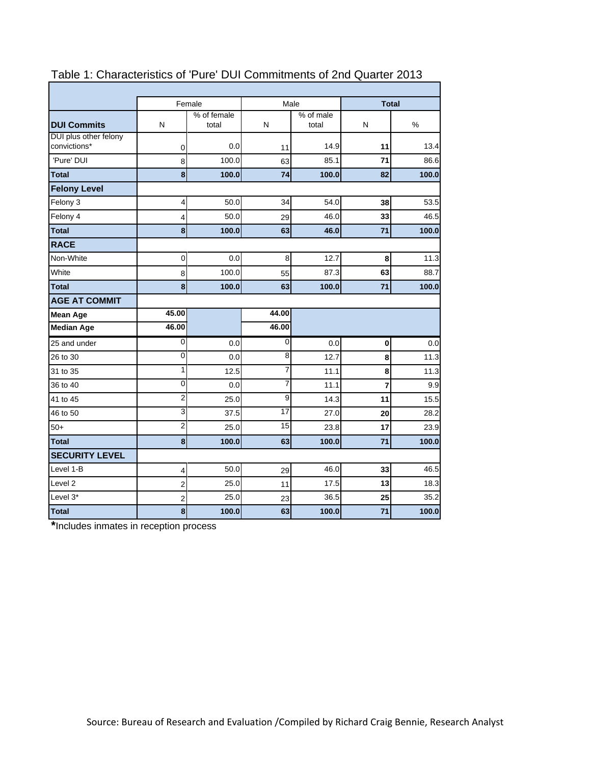|                       |                | Female               | Male            |                    | <b>Total</b>   |       |
|-----------------------|----------------|----------------------|-----------------|--------------------|----------------|-------|
| <b>DUI Commits</b>    | N              | % of female<br>total | N               | % of male<br>total | N              | $\%$  |
| DUI plus other felony |                |                      |                 |                    |                |       |
| convictions*          | 0              | 0.0                  | 11              | 14.9               | 11             | 13.4  |
| 'Pure' DUI            | 8              | 100.0                | 63              | 85.1               | 71             | 86.6  |
| <b>Total</b>          | 8              | 100.0                | 74              | 100.0              | 82             | 100.0 |
| <b>Felony Level</b>   |                |                      |                 |                    |                |       |
| Felony 3              | 4              | 50.0                 | 34              | 54.0               | 38             | 53.5  |
| Felony 4              | 4              | 50.0                 | 29              | 46.0               | 33             | 46.5  |
| <b>Total</b>          | 8              | 100.0                | 63              | 46.0               | 71             | 100.0 |
| <b>RACE</b>           |                |                      |                 |                    |                |       |
| Non-White             | 0              | 0.0                  | 8               | 12.7               | 8              | 11.3  |
| White                 | 8              | 100.0                | 55              | 87.3               | 63             | 88.7  |
| <b>Total</b>          | 8              | 100.0                | 63              | 100.0              | 71             | 100.0 |
| <b>AGE AT COMMIT</b>  |                |                      |                 |                    |                |       |
| <b>Mean Age</b>       | 45.00          |                      | 44.00           |                    |                |       |
| <b>Median Age</b>     | 46.00          |                      | 46.00           |                    |                |       |
| 25 and under          | 0              | 0.0                  | 0               | 0.0                | $\pmb{0}$      | 0.0   |
| 26 to 30              | 0              | 0.0                  | 8               | 12.7               | 8              | 11.3  |
| 31 to 35              | 1              | 12.5                 | 7               | 11.1               | 8              | 11.3  |
| 36 to 40              | 0              | 0.0                  | 7               | 11.1               | $\overline{7}$ | 9.9   |
| 41 to 45              | $\overline{2}$ | 25.0                 | 9               | 14.3               | 11             | 15.5  |
| 46 to 50              | 3              | 37.5                 | 17              | 27.0               | 20             | 28.2  |
|                       |                |                      |                 |                    |                |       |
| $50+$                 | $\overline{2}$ | 25.0                 | $\overline{15}$ | 23.8               | 17             | 23.9  |
| <b>Total</b>          | 8              | 100.0                | 63              | 100.0              | 71             | 100.0 |
| <b>SECURITY LEVEL</b> |                |                      |                 |                    |                |       |
| Level 1-B             | 4              | 50.0                 | 29              | 46.0               | 33             | 46.5  |
| Level <sub>2</sub>    | 2              | 25.0                 | 11              | 17.5               | 13             | 18.3  |
| Level 3*              | 2              | 25.0                 | 23              | 36.5               | 25             | 35.2  |

# Table 1: Characteristics of 'Pure' DUI Commitments of 2nd Quarter 2013

**\***Includes inmates in reception process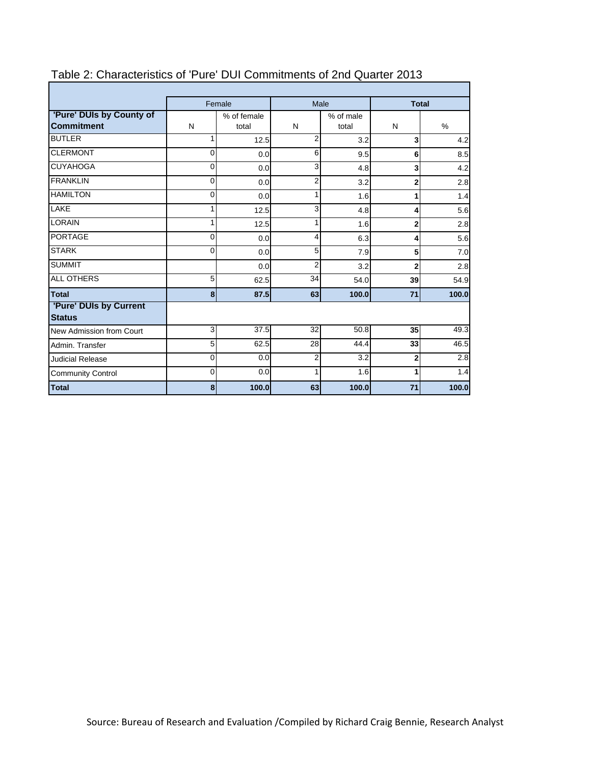|                                               |                           | Female |                         | Male             | <b>Total</b>            |                  |
|-----------------------------------------------|---------------------------|--------|-------------------------|------------------|-------------------------|------------------|
| 'Pure' DUIs by County of<br><b>Commitment</b> | % of female<br>N<br>total |        | % of male<br>N<br>total |                  | N<br>$\%$               |                  |
| <b>BUTLER</b>                                 | 1                         | 12.5   | 2                       | 3.2              | $\overline{\mathbf{3}}$ | 4.2              |
| <b>CLERMONT</b>                               | $\Omega$                  | 0.0    | 6                       | 9.5              | 6                       | 8.5              |
| <b>CUYAHOGA</b>                               | $\Omega$                  | 0.0    | 3                       | 4.8              | 3                       | 4.2              |
| <b>FRANKLIN</b>                               | $\overline{O}$            | 0.0    | 2                       | 3.2              | $\mathbf{2}$            | 2.8              |
| <b>HAMILTON</b>                               | $\overline{0}$            | 0.0    | 1                       | 1.6              |                         | 1.4              |
| <b>LAKE</b>                                   | 1.                        | 12.5   | 3                       | 4.8              | 4                       | 5.6              |
| <b>LORAIN</b>                                 | 1                         | 12.5   | 1                       | 1.6              | $\overline{2}$          | 2.8              |
| <b>PORTAGE</b>                                | $\Omega$                  | 0.0    | 4                       | 6.3              | 4                       | 5.6              |
| <b>STARK</b>                                  | $\Omega$                  | 0.0    | 5                       | 7.9              | 5                       | 7.0              |
| <b>SUMMIT</b>                                 |                           | 0.0    | 2                       | 3.2              | $\mathbf{2}$            | 2.8              |
| <b>ALL OTHERS</b>                             | 5                         | 62.5   | 34                      | 54.0             | 39                      | 54.9             |
| <b>Total</b>                                  | 8                         | 87.5   | 63                      | 100.0            | 71                      | 100.0            |
| 'Pure' DUIs by Current<br><b>Status</b>       |                           |        |                         |                  |                         |                  |
| New Admission from Court                      | 3                         | 37.5   | 32                      | 50.8             | 35                      | 49.3             |
| Admin, Transfer                               | 5                         | 62.5   | 28                      | 44.4             | 33                      | 46.5             |
| <b>Judicial Release</b>                       | $\Omega$                  | 0.0    | 2                       | $\overline{3.2}$ | $\overline{2}$          | $\overline{2.8}$ |
| <b>Community Control</b>                      | $\mathbf 0$               | 0.0    | 1                       | 1.6              |                         | 1.4              |
| <b>Total</b>                                  | 8                         | 100.0  | 63                      | 100.0            | 71                      | 100.0            |

### Table 2: Characteristics of 'Pure' DUI Commitments of 2nd Quarter 2013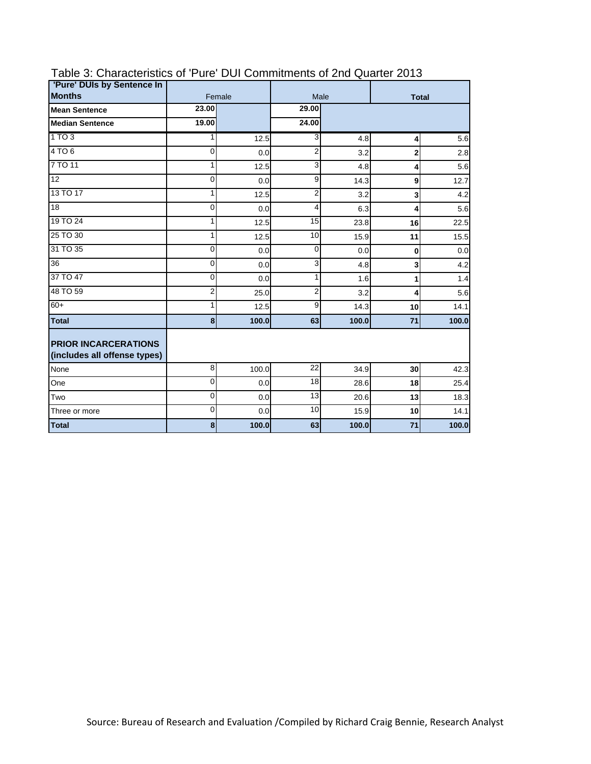| 'Pure' DUIs by Sentence In                                  |                |        |                |       |                 |       |  |
|-------------------------------------------------------------|----------------|--------|----------------|-------|-----------------|-------|--|
| <b>Months</b>                                               |                | Female |                | Male  | <b>Total</b>    |       |  |
| <b>Mean Sentence</b>                                        | 23.00          |        | 29.00          |       |                 |       |  |
| <b>Median Sentence</b>                                      | 19.00          |        | 24.00          |       |                 |       |  |
| 1TO3                                                        | $\overline{1}$ | 12.5   | 3              | 4.8   | 4               | 5.6   |  |
| 4 TO 6                                                      | $\Omega$       | 0.0    | $\overline{2}$ | 3.2   | $\mathbf{2}$    | 2.8   |  |
| 7 TO 11                                                     | 1              | 12.5   | 3              | 4.8   | 4               | 5.6   |  |
| $\overline{12}$                                             | $\mathbf 0$    | 0.0    | 9              | 14.3  | 9               | 12.7  |  |
| 13 TO 17                                                    | 1              | 12.5   | $\overline{2}$ | 3.2   | 3               | 4.2   |  |
| 18                                                          | $\Omega$       | 0.0    | 4              | 6.3   | 4               | 5.6   |  |
| 19 TO 24                                                    | 1              | 12.5   | 15             | 23.8  | 16              | 22.5  |  |
| 25 TO 30                                                    | 1              | 12.5   | 10             | 15.9  | 11              | 15.5  |  |
| 31 TO 35                                                    | $\Omega$       | 0.0    | $\mathbf 0$    | 0.0   | $\mathbf 0$     | 0.0   |  |
| $\overline{36}$                                             | $\overline{0}$ | 0.0    | 3              | 4.8   | 3               | 4.2   |  |
| 37 TO 47                                                    | $\Omega$       | 0.0    | 1              | 1.6   | 1               | 1.4   |  |
| 48 TO 59                                                    | $\overline{2}$ | 25.0   | $\overline{2}$ | 3.2   | 4               | 5.6   |  |
| $60+$                                                       | 1              | 12.5   | 9              | 14.3  | 10              | 14.1  |  |
| <b>Total</b>                                                | 8              | 100.0  | 63             | 100.0 | 71              | 100.0 |  |
| <b>PRIOR INCARCERATIONS</b><br>(includes all offense types) |                |        |                |       |                 |       |  |
| None                                                        | 8              | 100.0  | 22             | 34.9  | 30              | 42.3  |  |
| One                                                         | $\overline{0}$ | 0.0    | 18             | 28.6  | 18              | 25.4  |  |
| Two                                                         | $\Omega$       | 0.0    | 13             | 20.6  | 13              | 18.3  |  |
| Three or more                                               | $\Omega$       | 0.0    | 10             | 15.9  | 10 <sup>1</sup> | 14.1  |  |
| <b>Total</b>                                                | 8              | 100.0  | 63             | 100.0 | 71              | 100.0 |  |

#### Table 3: Characteristics of 'Pure' DUI Commitments of 2nd Quarter 2013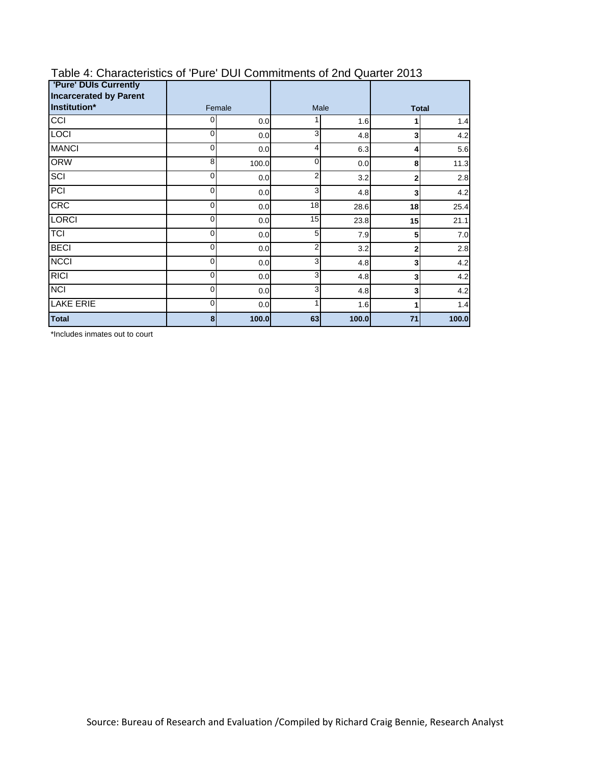| <b>'Pure' DUIs Currently</b><br><b>Incarcerated by Parent</b> |             |       |                |       |              |       |
|---------------------------------------------------------------|-------------|-------|----------------|-------|--------------|-------|
| Institution*                                                  | Female      |       | Male           |       | <b>Total</b> |       |
| <b>CCI</b>                                                    | 0           | 0.0   |                | 1.6   |              | 1.4   |
| <b>LOCI</b>                                                   | 0           | 0.0   | 3              | 4.8   | 3            | 4.2   |
| <b>MANCI</b>                                                  | 0           | 0.0   | 4              | 6.3   | 4            | 5.6   |
| <b>ORW</b>                                                    | 8           | 100.0 | 0              | 0.0   | 8            | 11.3  |
| SCI                                                           | 0           | 0.0   | $\overline{2}$ | 3.2   | 2            | 2.8   |
| PCI                                                           | 0           | 0.0   | 3              | 4.8   | 3            | 4.2   |
| <b>CRC</b>                                                    | 0           | 0.0   | 18             | 28.6  | 18           | 25.4  |
| <b>LORCI</b>                                                  | 0           | 0.0   | 15             | 23.8  | 15           | 21.1  |
| <b>TCI</b>                                                    | 0           | 0.0   | 5              | 7.9   | 5            | 7.0   |
| <b>BECI</b>                                                   | 0           | 0.0   | $\overline{2}$ | 3.2   | 2            | 2.8   |
| <b>NCCI</b>                                                   | 0           | 0.0   | 3              | 4.8   | 3            | 4.2   |
| <b>RICI</b>                                                   | 0           | 0.0   | 3              | 4.8   | 3            | 4.2   |
| <b>NCI</b>                                                    | 0           | 0.0   | 3              | 4.8   | 3            | 4.2   |
| <b>LAKE ERIE</b>                                              | $\mathbf 0$ | 0.0   |                | 1.6   |              | 1.4   |
| <b>Total</b>                                                  | 8           | 100.0 | 63             | 100.0 | 71           | 100.0 |

## Table 4: Characteristics of 'Pure' DUI Commitments of 2nd Quarter 2013

\*Includes inmates out to court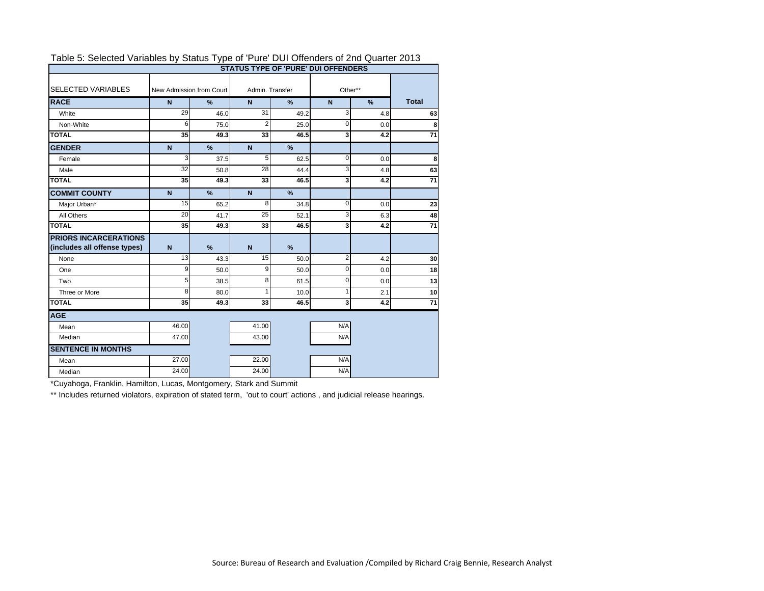|                              |                          |               |                 |      | <b>STATUS TYPE OF 'PURE' DUI OFFENDERS</b> |               |                 |
|------------------------------|--------------------------|---------------|-----------------|------|--------------------------------------------|---------------|-----------------|
| <b>SELECTED VARIABLES</b>    | New Admission from Court |               | Admin, Transfer |      | Other**                                    |               |                 |
| <b>RACE</b>                  | $\mathbf N$              | %             | N               | %    | N                                          | $\frac{9}{6}$ | <b>Total</b>    |
| White                        | 29                       | 46.0          | 31              | 49.2 | 3                                          | 4.8           | 63              |
| Non-White                    | 6                        | 75.0          | $\overline{2}$  | 25.0 | $\Omega$                                   | 0.0           | 8               |
| <b>TOTAL</b>                 | 35                       | 49.3          | 33              | 46.5 | 3                                          | 4.2           | $\overline{71}$ |
| <b>GENDER</b>                | $\mathbf N$              | $\frac{9}{6}$ | $\mathbf N$     | %    |                                            |               |                 |
| Female                       | 3                        | 37.5          | 5               | 62.5 | $\mathbf 0$                                | 0.0           | 8               |
| Male                         | 32                       | 50.8          | 28              | 44.4 | 3                                          | 4.8           | 63              |
| <b>TOTAL</b>                 | 35                       | 49.3          | 33              | 46.5 | 3                                          | 4.2           | 71              |
| <b>COMMIT COUNTY</b>         | $\mathbf N$              | %             | $\mathbf N$     | %    |                                            |               |                 |
| Major Urban*                 | 15                       | 65.2          | 8               | 34.8 | 0                                          | 0.0           | 23              |
| All Others                   | 20                       | 41.7          | 25              | 52.1 | 3                                          | 6.3           | 48              |
| <b>TOTAL</b>                 | 35                       | 49.3          | 33              | 46.5 | 3                                          | 4.2           | 71              |
| <b>PRIORS INCARCERATIONS</b> |                          |               |                 |      |                                            |               |                 |
| (includes all offense types) | $\mathbf N$              | %             | N               | %    |                                            |               |                 |
| None                         | 13                       | 43.3          | 15              | 50.0 | $\overline{2}$                             | 4.2           | 30              |
| One                          | 9                        | 50.0          | 9               | 50.0 | $\Omega$                                   | 0.0           | 18              |
| Two                          | 5                        | 38.5          | 8               | 61.5 | $\mathbf 0$                                | 0.0           | 13              |
| Three or More                | 8                        | 80.0          | 1               | 10.0 | 1                                          | 2.1           | 10              |
| <b>TOTAL</b>                 | 35                       | 49.3          | 33              | 46.5 | 3                                          | 4.2           | 71              |
| <b>AGE</b>                   |                          |               |                 |      |                                            |               |                 |
| Mean                         | 46.00                    |               | 41.00           |      | N/A                                        |               |                 |
| Median                       | 47.00                    |               | 43.00           |      | N/A                                        |               |                 |
| <b>SENTENCE IN MONTHS</b>    |                          |               |                 |      |                                            |               |                 |
| Mean                         | 27.00                    |               | 22.00           |      | N/A                                        |               |                 |
| Median                       | 24.00                    |               | 24.00           |      | N/A                                        |               |                 |

#### Table 5: Selected Variables by Status Type of 'Pure' DUI Offenders of 2nd Quarter 2013

\*Cuyahoga, Franklin, Hamilton, Lucas, Montgomery, Stark and Summit

\*\* Includes returned violators, expiration of stated term, 'out to court' actions, and judicial release hearings.